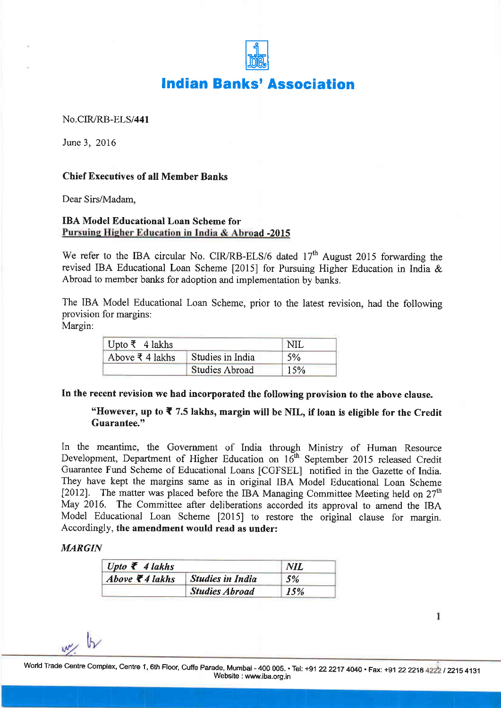

# **Indian Banks' Association**

#### No.CIR/RB-ELS/441

June 3, 2016

#### Chief Executives of all Member Banks

Dear Sirs/Madam,

#### IBA Model Educational Loan Scheme for Pursuing Higher Education in India & Abroad -2015

We refer to the IBA circular No. CIR/RB-ELS/6 dated 17<sup>th</sup> August 2015 forwarding the revised IBA Educational Loan Scheme [2015] for Pursuing Higher Education in India & Abroad to member banks for adoption and implementation by banks.

The IBA Model Educational Loan Scheme, prior to the latest revision, had the following provision for margins:

Margin:

| Upto ₹ 4 lakhs                 |                       | 'NII |
|--------------------------------|-----------------------|------|
| Above $\overline{\xi}$ 4 lakhs | Studies in India      | 5%   |
|                                | <b>Studies Abroad</b> | 15%  |

In the recent revision we had incorporated the following provision to the above clause.

## "However, up to  $\bar{\tau}$  7.5 lakhs, margin will be NIL, if loan is eligible for the Credit Guarantee."

In the meantime, the Government of India through Ministry of Human Resource Development, Department of Higher Education on 16<sup>th</sup> September 2015 released Credit Guarantee Fund Scheme of Educational Loans [CGFSEL] notified in the Gazette of India. They have kept the margins same as in original IBA Model Educational Loan Scheme [2012]. The matter was placed before the IBA Managing Committee Meeting held on  $27<sup>th</sup>$ May 2016. The Committee after deliberations accorded its approval to amend the IBA Model Educational Loan Scheme [2015] to restore the original clause for margin. Accordingly, the amendment would read as under:

#### **MARGIN**

| <i>Upto ₹</i> 4 lakhs      |                         | <b>NIL</b> |
|----------------------------|-------------------------|------------|
| Above $\bar{\tau}$ 4 lakhs | <b>Studies in India</b> | 5%         |
|                            | <b>Studies Abroad</b>   | 15%        |